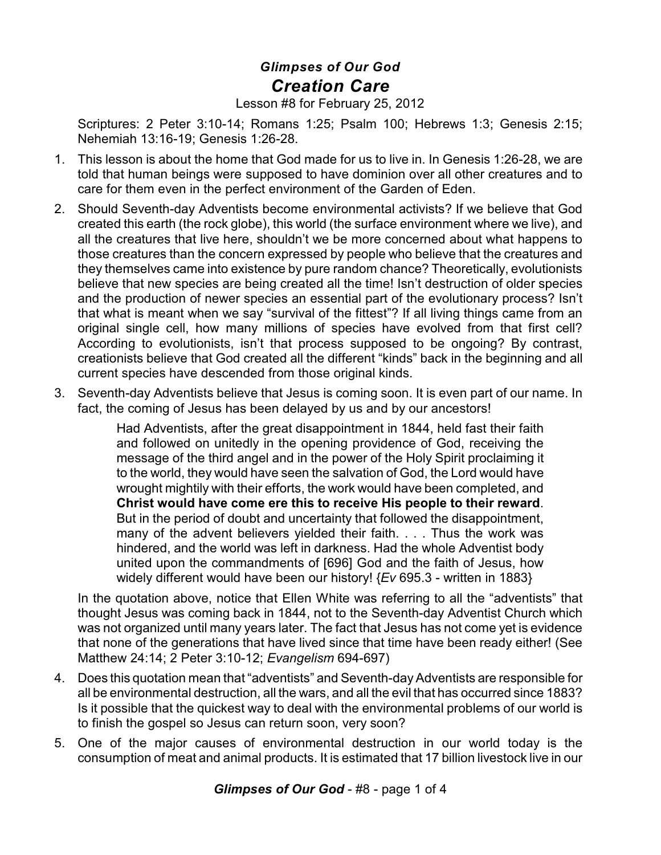## *Glimpses of Our God Creation Care*

Lesson #8 for February 25, 2012

Scriptures: 2 Peter 3:10-14; Romans 1:25; Psalm 100; Hebrews 1:3; Genesis 2:15; Nehemiah 13:16-19; Genesis 1:26-28.

- 1. This lesson is about the home that God made for us to live in. In Genesis 1:26-28, we are told that human beings were supposed to have dominion over all other creatures and to care for them even in the perfect environment of the Garden of Eden.
- 2. Should Seventh-day Adventists become environmental activists? If we believe that God created this earth (the rock globe), this world (the surface environment where we live), and all the creatures that live here, shouldn't we be more concerned about what happens to those creatures than the concern expressed by people who believe that the creatures and they themselves came into existence by pure random chance? Theoretically, evolutionists believe that new species are being created all the time! Isn't destruction of older species and the production of newer species an essential part of the evolutionary process? Isn't that what is meant when we say "survival of the fittest"? If all living things came from an original single cell, how many millions of species have evolved from that first cell? According to evolutionists, isn't that process supposed to be ongoing? By contrast, creationists believe that God created all the different "kinds" back in the beginning and all current species have descended from those original kinds.
- 3. Seventh-day Adventists believe that Jesus is coming soon. It is even part of our name. In fact, the coming of Jesus has been delayed by us and by our ancestors!

Had Adventists, after the great disappointment in 1844, held fast their faith and followed on unitedly in the opening providence of God, receiving the message of the third angel and in the power of the Holy Spirit proclaiming it to the world, they would have seen the salvation of God, the Lord would have wrought mightily with their efforts, the work would have been completed, and **Christ would have come ere this to receive His people to their reward**. But in the period of doubt and uncertainty that followed the disappointment, many of the advent believers yielded their faith. . . . Thus the work was hindered, and the world was left in darkness. Had the whole Adventist body united upon the commandments of [696] God and the faith of Jesus, how widely different would have been our history! {*Ev* 695.3 - written in 1883}

In the quotation above, notice that Ellen White was referring to all the "adventists" that thought Jesus was coming back in 1844, not to the Seventh-day Adventist Church which was not organized until many years later. The fact that Jesus has not come yet is evidence that none of the generations that have lived since that time have been ready either! (See Matthew 24:14; 2 Peter 3:10-12; *Evangelism* 694-697)

- 4. Does this quotation mean that "adventists" and Seventh-day Adventists are responsible for all be environmental destruction, all the wars, and all the evil that has occurred since 1883? Is it possible that the quickest way to deal with the environmental problems of our world is to finish the gospel so Jesus can return soon, very soon?
- 5. One of the major causes of environmental destruction in our world today is the consumption of meat and animal products. It is estimated that 17 billion livestock live in our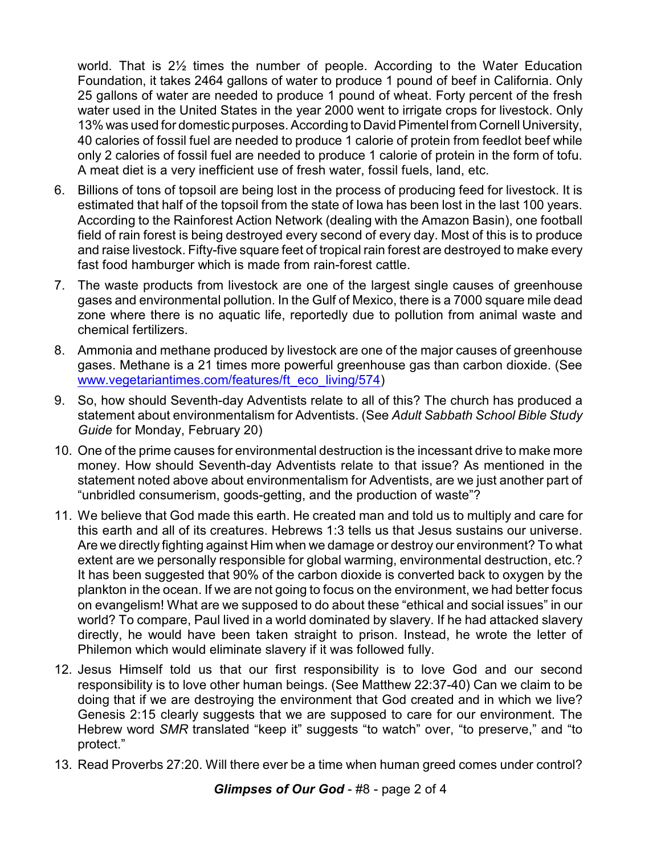world. That is 2½ times the number of people. According to the Water Education Foundation, it takes 2464 gallons of water to produce 1 pound of beef in California. Only 25 gallons of water are needed to produce 1 pound of wheat. Forty percent of the fresh water used in the United States in the year 2000 went to irrigate crops for livestock. Only 13% was used for domestic purposes. According to David Pimentel from Cornell University, 40 calories of fossil fuel are needed to produce 1 calorie of protein from feedlot beef while only 2 calories of fossil fuel are needed to produce 1 calorie of protein in the form of tofu. A meat diet is a very inefficient use of fresh water, fossil fuels, land, etc.

- 6. Billions of tons of topsoil are being lost in the process of producing feed for livestock. It is estimated that half of the topsoil from the state of Iowa has been lost in the last 100 years. According to the Rainforest Action Network (dealing with the Amazon Basin), one football field of rain forest is being destroyed every second of every day. Most of this is to produce and raise livestock. Fifty-five square feet of tropical rain forest are destroyed to make every fast food hamburger which is made from rain-forest cattle.
- 7. The waste products from livestock are one of the largest single causes of greenhouse gases and environmental pollution. In the Gulf of Mexico, there is a 7000 square mile dead zone where there is no aquatic life, reportedly due to pollution from animal waste and chemical fertilizers.
- 8. Ammonia and methane produced by livestock are one of the major causes of greenhouse gases. Methane is a 21 times more powerful greenhouse gas than carbon dioxide. (See [www.vegetariantimes.com/features/ft\\_eco\\_living/574](http://www.vegetariantimes.com/features/ft_eco_living/574))
- 9. So, how should Seventh-day Adventists relate to all of this? The church has produced a statement about environmentalism for Adventists. (See *Adult Sabbath School Bible Study Guide* for Monday, February 20)
- 10. One of the prime causes for environmental destruction is the incessant drive to make more money. How should Seventh-day Adventists relate to that issue? As mentioned in the statement noted above about environmentalism for Adventists, are we just another part of "unbridled consumerism, goods-getting, and the production of waste"?
- 11. We believe that God made this earth. He created man and told us to multiply and care for this earth and all of its creatures. Hebrews 1:3 tells us that Jesus sustains our universe. Are we directly fighting against Him when we damage or destroy our environment? To what extent are we personally responsible for global warming, environmental destruction, etc.? It has been suggested that 90% of the carbon dioxide is converted back to oxygen by the plankton in the ocean. If we are not going to focus on the environment, we had better focus on evangelism! What are we supposed to do about these "ethical and social issues" in our world? To compare, Paul lived in a world dominated by slavery. If he had attacked slavery directly, he would have been taken straight to prison. Instead, he wrote the letter of Philemon which would eliminate slavery if it was followed fully.
- 12. Jesus Himself told us that our first responsibility is to love God and our second responsibility is to love other human beings. (See Matthew 22:37-40) Can we claim to be doing that if we are destroying the environment that God created and in which we live? Genesis 2:15 clearly suggests that we are supposed to care for our environment. The Hebrew word *SMR* translated "keep it" suggests "to watch" over, "to preserve," and "to protect."
- 13. Read Proverbs 27:20. Will there ever be a time when human greed comes under control?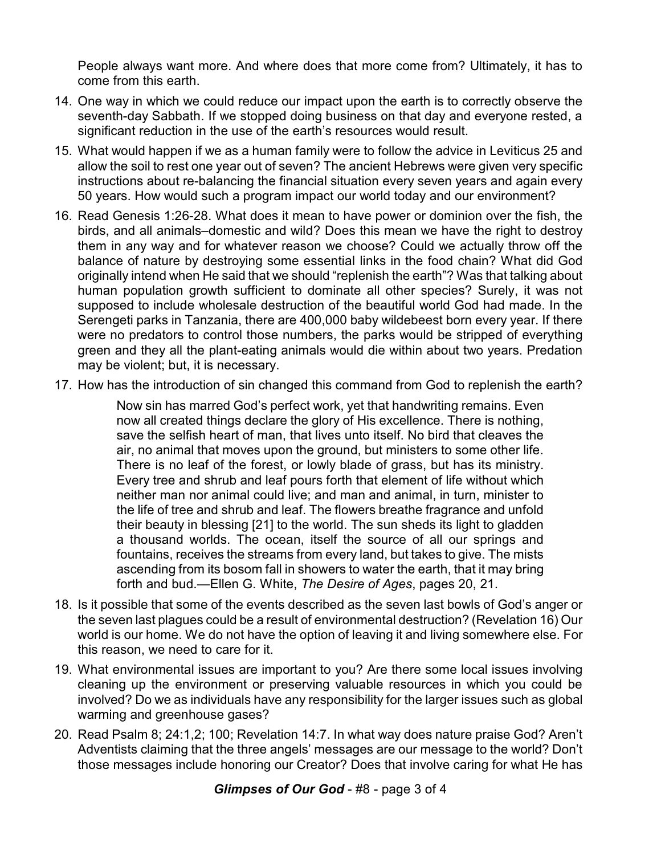People always want more. And where does that more come from? Ultimately, it has to come from this earth.

- 14. One way in which we could reduce our impact upon the earth is to correctly observe the seventh-day Sabbath. If we stopped doing business on that day and everyone rested, a significant reduction in the use of the earth's resources would result.
- 15. What would happen if we as a human family were to follow the advice in Leviticus 25 and allow the soil to rest one year out of seven? The ancient Hebrews were given very specific instructions about re-balancing the financial situation every seven years and again every 50 years. How would such a program impact our world today and our environment?
- 16. Read Genesis 1:26-28. What does it mean to have power or dominion over the fish, the birds, and all animals–domestic and wild? Does this mean we have the right to destroy them in any way and for whatever reason we choose? Could we actually throw off the balance of nature by destroying some essential links in the food chain? What did God originally intend when He said that we should "replenish the earth"? Was that talking about human population growth sufficient to dominate all other species? Surely, it was not supposed to include wholesale destruction of the beautiful world God had made. In the Serengeti parks in Tanzania, there are 400,000 baby wildebeest born every year. If there were no predators to control those numbers, the parks would be stripped of everything green and they all the plant-eating animals would die within about two years. Predation may be violent; but, it is necessary.
- 17. How has the introduction of sin changed this command from God to replenish the earth?

Now sin has marred God's perfect work, yet that handwriting remains. Even now all created things declare the glory of His excellence. There is nothing, save the selfish heart of man, that lives unto itself. No bird that cleaves the air, no animal that moves upon the ground, but ministers to some other life. There is no leaf of the forest, or lowly blade of grass, but has its ministry. Every tree and shrub and leaf pours forth that element of life without which neither man nor animal could live; and man and animal, in turn, minister to the life of tree and shrub and leaf. The flowers breathe fragrance and unfold their beauty in blessing [21] to the world. The sun sheds its light to gladden a thousand worlds. The ocean, itself the source of all our springs and fountains, receives the streams from every land, but takes to give. The mists ascending from its bosom fall in showers to water the earth, that it may bring forth and bud.—Ellen G. White, *The Desire of Ages*, pages 20, 21.

- 18. Is it possible that some of the events described as the seven last bowls of God's anger or the seven last plagues could be a result of environmental destruction? (Revelation 16) Our world is our home. We do not have the option of leaving it and living somewhere else. For this reason, we need to care for it.
- 19. What environmental issues are important to you? Are there some local issues involving cleaning up the environment or preserving valuable resources in which you could be involved? Do we as individuals have any responsibility for the larger issues such as global warming and greenhouse gases?
- 20. Read Psalm 8; 24:1,2; 100; Revelation 14:7. In what way does nature praise God? Aren't Adventists claiming that the three angels' messages are our message to the world? Don't those messages include honoring our Creator? Does that involve caring for what He has